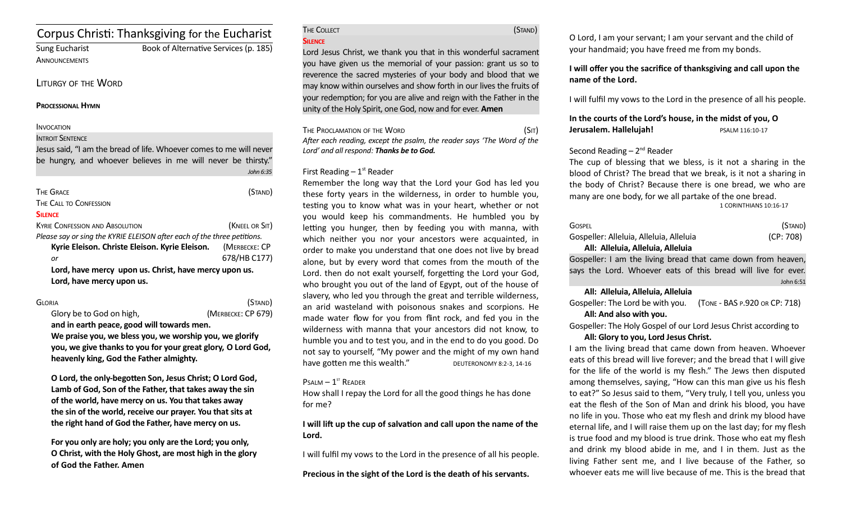# Corpus Christ: Thanksgiving for the Eucharist

**ANNOUNCEMENTS** 

# Sung Eucharist Book of Alternative Services (p. 185)

#### LITURGY OF THE WORD

#### **PROCESSIONAL HYMN**

#### **INVOCATION**

#### INTROIT SENTENCE

Jesus said, "I am the bread of life. Whoever comes to me will never be hungry, and whoever believes in me will never be thirsty." *John 6:35*

| <b>THE GRACE</b>                                                        | (Stand)        |  |
|-------------------------------------------------------------------------|----------------|--|
| THE CALL TO CONFESSION                                                  |                |  |
| <b>SILFNCF</b>                                                          |                |  |
| <b>KYRIE CONFESSION AND ABSOLUTION</b>                                  | (KNEEL OR SIT) |  |
| Please say or sing the KYRIE ELEISON after each of the three petitions. |                |  |
| Kyrie Eleison. Christe Eleison. Kyrie Eleison.                          | (MERBECKE: CP  |  |
| or                                                                      | 678/HB C177)   |  |
| Lord, have mercy upon us. Christ, have mercy upon us.                   |                |  |

**Lord, have mercy upon us.**

GLORIA (STAND) Glory be to God on high, *(MERBECKE: CP 679)* **and in earth peace, good will towards men. We praise you, we bless you, we worship you, we glorify you, we give thanks to you for your great glory, O Lord God, heavenly king, God the Father almighty.** 

**O Lord, the only-begoten Son, Jesus Christ; O Lord God, Lamb of God, Son of the Father, that takes away the sin of the world, have mercy on us. You that takes away the sin of the world, receive our prayer. You that sits at the right hand of God the Father, have mercy on us.** 

**For you only are holy; you only are the Lord; you only, O Christ, with the Holy Ghost, are most high in the glory of God the Father. Amen**

The Collect (Stand)

#### **SILENCE**

Lord Jesus Christ, we thank you that in this wonderful sacrament you have given us the memorial of your passion: grant us so to reverence the sacred mysteries of your body and blood that we may know within ourselves and show forth in our lives the fruits of your redemption; for you are alive and reign with the Father in the unity of the Holy Spirit, one God, now and for ever. **Amen**

| THE PROCLAMATION OF THE WORD                                           | (SIT) |
|------------------------------------------------------------------------|-------|
| After each reading, except the psalm, the reader says 'The Word of the |       |
| Lord' and all respond: <b>Thanks be to God.</b>                        |       |

#### First Reading  $-1<sup>st</sup>$  Reader

Remember the long way that the Lord your God has led you these forty years in the wilderness, in order to humble you, testng you to know what was in your heart, whether or not you would keep his commandments. He humbled you by letting you hunger, then by feeding you with manna, with which neither you nor your ancestors were acquainted, in order to make you understand that one does not live by bread alone, but by every word that comes from the mouth of the Lord. then do not exalt yourself, forgetting the Lord your God, who brought you out of the land of Egypt, out of the house of slavery, who led you through the great and terrible wilderness, an arid wasteland with poisonous snakes and scorpions. He made water fow for you from fint rock, and fed you in the wilderness with manna that your ancestors did not know, to humble you and to test you, and in the end to do you good. Do not say to yourself, "My power and the might of my own hand have gotten me this wealth." DEUTERONOMY 8:2-3, 14-16

#### $P$ SALM  $-1$ <sup>ST</sup> READER

How shall I repay the Lord for all the good things he has done for me?

**I will lift up the cup of salvation and call upon the name of the Lord.**

I will fulfil my vows to the Lord in the presence of all his people.

**Precious in the sight of the Lord is the death of his servants.**

O Lord, I am your servant; I am your servant and the child of your handmaid; you have freed me from my bonds.

#### **I will offer you the sacrifice of thanksgiving and call upon the name of the Lord.**

I will fulfil my vows to the Lord in the presence of all his people.

### **In the courts of the Lord's house, in the midst of you, O Jerusalem. Hallelujah!** PSALM 116:10-17

### Second Reading  $-2^{nd}$  Reader

The cup of blessing that we bless, is it not a sharing in the blood of Christ? The bread that we break, is it not a sharing in the body of Christ? Because there is one bread, we who are many are one body, for we all partake of the one bread. 1 CORINTHIANS 10:16-17

| <b>GOSPEL</b>                                                                                                   | (Stand)   |
|-----------------------------------------------------------------------------------------------------------------|-----------|
| Gospeller: Alleluia, Alleluia, Alleluia                                                                         | (CP: 708) |
| $\mathbf{A} \mathbf{B}$ and $\mathbf{A} \mathbf{B}$ . All $\mathbf{A} \mathbf{B}$ . All $\mathbf{A} \mathbf{B}$ |           |

#### **All: Alleluia, Alleluia, Alleluia**

Gospeller: I am the living bread that came down from heaven, says the Lord. Whoever eats of this bread will live for ever. John 6:51

#### **All: Alleluia, Alleluia, Alleluia**

Gospeller: The Lord be with you. (TONE - BAS P.920 OR CP: 718) **All: And also with you.** 

Gospeller: The Holy Gospel of our Lord Jesus Christ according to

#### **All: Glory to you, Lord Jesus Christ.**

I am the living bread that came down from heaven. Whoever eats of this bread will live forever; and the bread that I will give for the life of the world is my fesh." The Jews then disputed among themselves, saying, "How can this man give us his fesh to eat?" So Jesus said to them, "Very truly, I tell you, unless you eat the fesh of the Son of Man and drink his blood, you have no life in you. Those who eat my flesh and drink my blood have eternal life, and I will raise them up on the last day; for my flesh is true food and my blood is true drink. Those who eat my fesh and drink my blood abide in me, and I in them. Just as the living Father sent me, and I live because of the Father, so whoever eats me will live because of me. This is the bread that